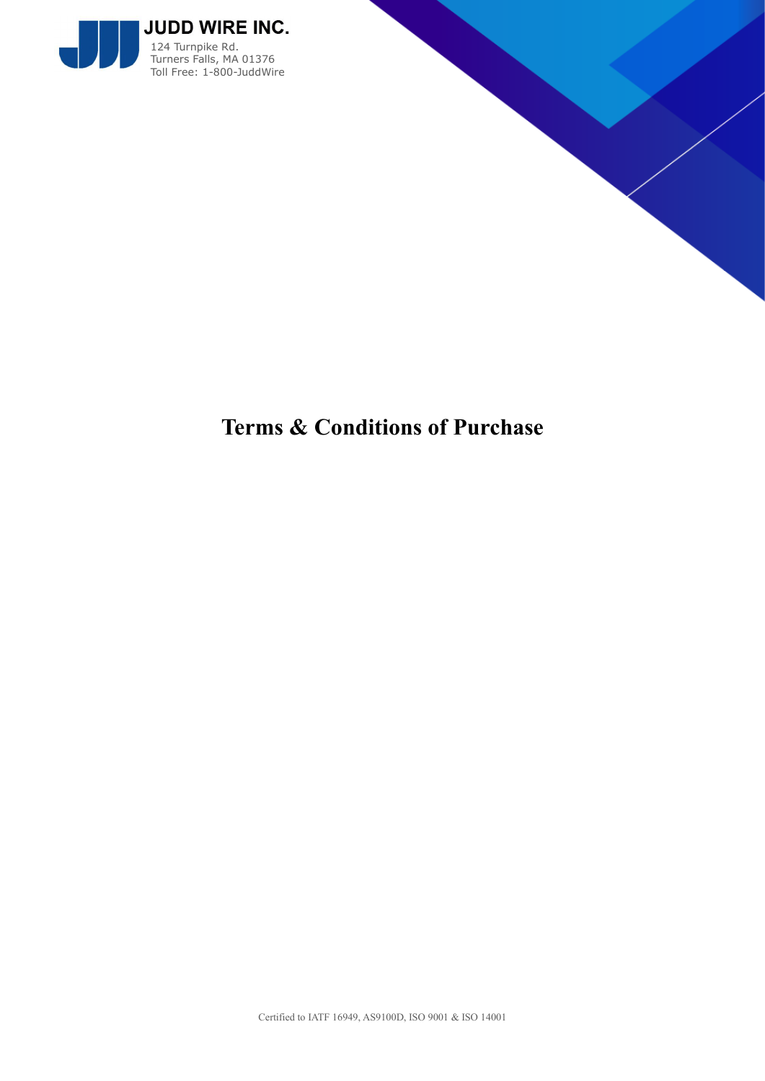



# **Terms & Conditions of Purchase**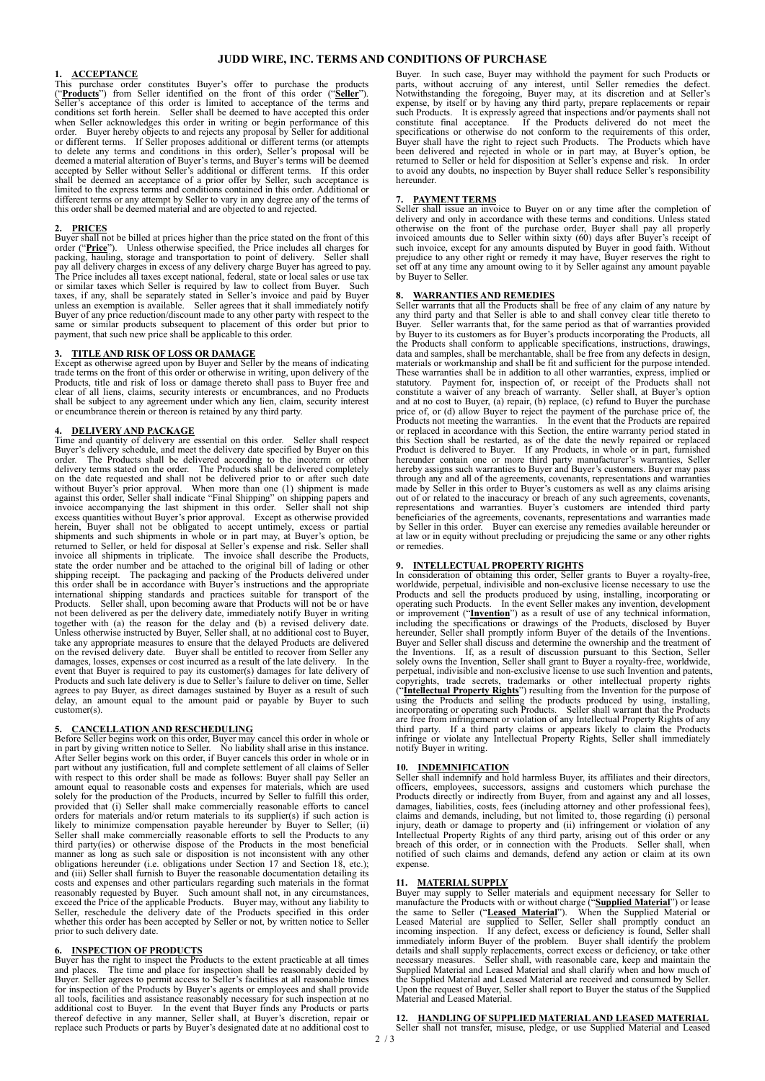# **JUDD WIRE, INC. TERMS AND CONDITIONS OF PURCHASE**

# **1. ACCEPTANCE**

This purchase order constitutes Buyer's offer to purchase the products ("**Products**") from Seller identified on the front of this order ("**Seller**"). Seller's acceptance of this order is limited to acceptance of the terms and conditions set forth herein. Seller shall be deemed to have accepted this order when Seller acknowledges this order in writing or begin performance of this order. Buyer hereby objects to and rejects any proposal by Seller accepted by Seller without Seller's additional or different terms. If this order<br>shall be deemed an acceptance of a prior offer by Seller, such acceptance is<br>limited to the express terms and conditions contained in this or different terms or any attempt by Seller to vary in any degree any of the terms of this order shall be deemed material and are objected to and rejected.

**2. PRICES** Buyer shall not be billed at prices higher than the price stated on the front of this order ("**Price**"). Unless otherwise specified, the Price includes all charges for packing, hauling, storage and transportation to point of delivery. Seller shall<br>pay all delivery charges in excess of any delivery charge Buyer has agreed to pay.<br>The Price includes all taxes except national, federal, stat or similar taxes which Seller is required by law to collect from Buyer. Such taxes, if any, shall be separately stated in Seller's invoice and paid by Buyer<br>unless an exemption is available. Seller agrees that it shall imm Buyer of any price reduction/discount made to any other party with respect to the same or similar products subsequent to placement of this order but prior to payment, that such new price shall be applicable to this order.

### **3. TITLE AND RISK OF LOSS OR DAMAGE**

Except as otherwise agreed upon by Buyer and Seller by the means of indicating trade terms on the front of this order or otherwise in writing, upon delivery of the Products, title and risk of loss or damage thereto shall pass to Buyer free and clear of all liens, claims, security interests or encumbrances, and no Products shall be subject to any agreement under which any lien, claim, security interest or encumbrance therein or thereon is retained by any third party.

### **4. DELIVERY AND PACKAGE**

Time and quantity of delivery are essential on this order. Seller shall respect Buyer's delivery schedule, and meet the delivery date specified by Buyer on this Buyer's delivery schedule, and meet the delivery date specified by Buyer on this<br>order. The Products shall be delivered according to the incoterm or other<br>delivery terms stated on the order. The Products shall be delivered shipping receipt. The packaging and packing of the Products delivered under<br>this order shall be in accordance with Buyer's instructions and the appropriate<br>international shipping standards and practices suitable for transp Products. Seller shall, upon becoming aware that Products will not be or have<br>not been delivered as per the delivery date, immediately notify Buyer in writing<br>together with (a) the reason for the delay and (b) a revised de Unless otherwise instructed by Buyer, Seller shall, at no additional cost to Buyer, take any appropriate measures to ensure that the delayed Products are delivered on the revised delivery date. Buyer shall be entitled to r damages, losses, expenses or cost incurred as a result of the late delivery. In the event that Buyer is required to pay its customer(s) damages for late delivery of<br>Products and such late delivery is due to Seller's failur agrees to pay Buyer, as direct damages sustained by Buyer as a result of such delay, an amount equal to the amount paid or payable by Buyer to such customer(s).

**5. CANCELLATION AND RESCHEDULING**<br>Before Seller begins work on this order, Buyer may cancel this order in whole or<br>in part by giving written notice to Seller. No liability shall arise in this instance.<br>After Seller begi with respect to this order shall be made as follows: Buyer shall pay Seller an<br>amount equal to reasonable costs and expenses for materials, which are used<br>solely for the production of the Products, incurred by Seller to fu provided that (i) Seller shall make commercially reasonable efforts to cancel orders for materials and/or return materials to its supplier(s) if such action is likely to minimize compensation payable hereunder by Buyer to Seller; (ii) Seller shall make commercially reasonable efforts to sell the Products to any third party(ies) or otherwise dispose of the Products in the most beneficial manner as long as such sale or disposition is not inconsistent with any other obligations hereunder (i.e. obligations under Section 17 and Section 18, etc.); and (iii) Seller shall furnish to Buyer the reasonable documentation detailing its costs and expenses and other particulars regarding such materials in the format reasonably requested by Buyer. Such amount shall not, in any circumstances, exceed the Price of the applicable Products. Buyer may, without any liability to Seller, reschedule the delivery date of the Products specified in prior to such delivery date.

# **INSPECTION OF PRODUCTS**

Buyer has the right to inspect the Products to the extent practicable at all times<br>and places. The time and place for inspection shall be reasonably decided by<br>Buyer. Seller agrees to permit access to Seller's facilities a for inspection of the Products by Buyer's agents or employees and shall provide all tools, facilities and assistance reasonably necessary for such inspection at no additional cost to Buyer. In the event that Buyer finds any Products or parts<br>thereof defective in any manner, Seller shall, at Buyer's discretion, repair or<br>replace such Products or parts by Buyer's designated date at no

Buyer. In such case, Buyer may withhold the payment for such Products or parts, without accruing of any interest, until Seller remedies the defect. Notwithstanding the foregoing, Buyer may, at its discretion and at Seller's<br>expense, by itself or by having any third party, perpare replacements or repair<br>such Products. It is expressly agreed that inspections and/or paym to avoid any doubts, no inspection by Buyer shall reduce Seller's responsibility hereunder.

**7. PAYMENT TERMS**<br>Seller shall issue an invoice to Buyer on or any time after the completion of delivery and only in accordance with these terms and conditions. Unless stated otherwise on the front of the purchase order, Buyer shall pay all properly invoiced amounts due to Seller within sixty (60) days after Buyer's receipt of such invoice, except for any amounts disputed by Buyer in good faith prejudice to any other right or remedy it may have, Buyer reserves the right to set off at any time any amount owing to it by Seller against any amount payable by Buyer to Seller.

**8. WARRANTIES AND REMEDIES** Seller warrants that all the Products shall be free of any claim of any nature by any third party and that Seller is able to and shall convey clear title thereto to Buyer. Seller warrants that, for the same period as that of warranties provided by Buyer to its customers as for Buyer's products incorpora the Products shall conform to applicable specifications, instructions, drawings, data and samples, shall be merchantable, shall be free from any defects in design, materials or workmanship and shall be fit and sufficient for the purpose intended. These warranties shall be in addition to all other warranties, express, implied or statutory. Payment for, inspection of, or receipt of the Products shall not constitute a waiver of any breach of warranty. Seller shall, at hereunder contain one or more third party manufacturer's warranties, Seller<br>hereby assigns such warranties to Buyer and Buyer's customers. Buyer may pass<br>through any and all of the agreements, covenants, representations an made by Seller in this order to Buyer's customers as well as any claims arising<br>out of or related to the inaccuracy or breach of any such agreements, covenants,<br>representations and warranties. Buyer's customers are intende beneficiaries of the agreements, covenants, representations and warranties made<br>by Seller in this order. Buyer can exercise any remedies available hereunder or<br>at law or in equity without precluding or prejudicing the same or remedies.

### **9. INTELLECTUAL PROPERTY RIGHTS**

In consideration of obtaining this order, Seller grants to Buyer a royalty-free, worldwide, perpetual, indivisible and non-exclusive license necessary to use the Products and sell the products produced by using, installing hereunder, Seller shall promptly inform Buyer of the details of the Inventions.<br>Buyer and Seller shall discuss and determine the ownership and the treatment of<br>the Inventions. If, as a result of discussion pursuant to this perpetual, indivisible and non-exclusive license to use such Invention and patents, copyrights, trade secrets, trademarks or other intellectual property rights ("**Intellectual Property Rights**") resulting from the Invention for the purpose of using the Products and selling the products produced by using, installing, incorporating or operating such Products. Seller shall warrant that the Products are free from infringement or violation of any Intellectual Property Rights of any third party. If a third party claims or appears likely to claim the Products infringe or violate any Intellectual Property Rights, Seller s

# **10. INDEMNIFICATION**

Seller shall indemnify and hold harmless Buyer, its affiliates and their directors, officers, employees, successors, assigns and customers which purchase the Products directly or indirectly from Buyer, from and against any and all losses, damages, liabilities, costs, fees (including attorney and other professional fees), claims and demands, including, but not limited to, those regarding (i) personal injury, death or damage to property and (ii) infringement breach of this order, or in connection with the Products. Seller shall, when notified of such claims and demands, defend any action or claim at its own expense.

### **11. MATERIAL SUPPLY**

Buyer may supply to Seller materials and equipment necessary for Seller to manufacture the Products with or without charge ("**Supplied Material**") or lease<br>the same to Seller ("**Leased Material**"). When the Supplied Material or<br>Leased Material are supplied to Seller, Seller shall promptly conduct details and shall supply replacements, correct excess or deficiency, or take other necessary measures. Seller shall, with reasonable care, keep and maintain the Supplied Material and Leased Material and shall clarify when the Supplied Material and Leased Material are received and consumed by Seller. Upon the request of Buyer, Seller shall report to Buyer the status of the Supplied Material and Leased Material.

**12. HANDLING OF SUPPLIED MATERIAL AND LEASED MATERIAL**  Seller shall not transfer, misuse, pledge, or use Supplied Material and Leased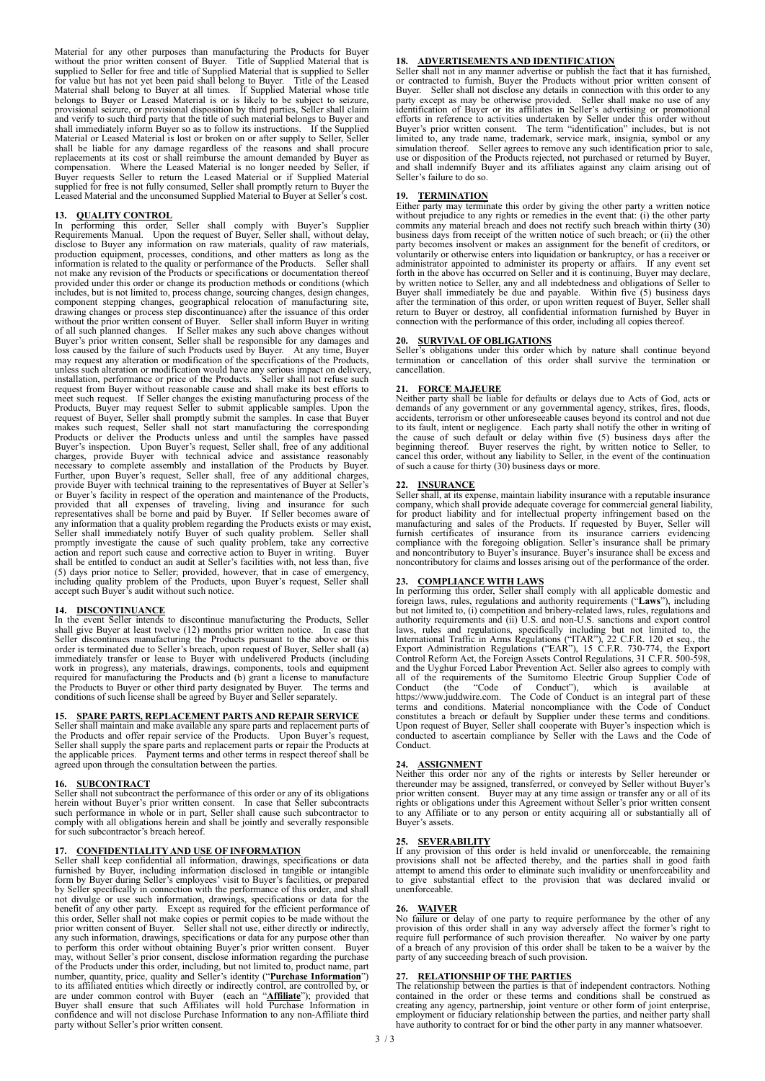Material for any other purposes than manufacturing the Products for Buyer without the prior written consent of Buyer. Title of Supplied Material that is supplied to Seller for free and title of Supplied Material that is supplied to Seller for value but has not yet been paid shall belong to Buyer. Title of the Leased Material shall belong to Buyer at all times. If Supplied shall immediately inform Buyer so as to follow its instructions. If the Supplied Material or Leased Material is lost or broken on or after supply to Seller, Seller shall be liable for any damage regardless of the reasons and shall procure replacements at its cost or shall reimburse the amount demanded by Buyer as<br>compensation. Where the Leased Material is no longer needed by Seller, if<br>Buyer requests Seller to return the Leased Material or if Supplied Mater supplied for free is not fully consumed, Seller shall promptly return to Buyer the Leased Material and the unconsumed Supplied Material to Buyer at Seller's cost.

**13. QUALITY CONTROL** In performing this order, Seller shall comply with Buyer's Supplier Requirements Manual. Upon the request of Buyer, Seller shall, without delay, disclose to Buyer any information on raw materials, quality of raw materials, production equipment, processes, conditions, and other matters as long as the information is related to the quality or performance of the Produc not make any revision of the Products or specifications or documentation thereof provided under this order or change its production methods or conditions (which<br>includes, but is not limited to, process change, sourcing changes, design changes,<br>component stepping changes, geographical relocation of manu drawing changes or process step discontinuance) after the issuance of this order without the prior written consent of Buyer. Seller shall inform Buyer in writing of all such planned changes. If Seller makes any such above changes without<br>Buyer's prior written consent, Seller shall be responsible for any damages and<br>loss caused by the failure of such Products used by Buyer. At any t may request any alteration or modification of the specifications of the Products, unless such alteration or modification would have any serious impact on delivery, installation, performance or price of the Products. Seller shall not refuse such request from Buyer without reasonable cause and shall make its best efforts to meet such request. If Seller changes the existing manufacturing process of the<br>Products, Buyer may request Seller to submit applicable samples. Upon the<br>request of Buyer, Seller shall promptly submit the samples. In case t makes such request, Seller shall not start manufacturing the corresponding<br>Products or deliver the Products unless and until the samples have passed<br>Buyer's inspection. Upon Buyer's request, Seller shall, free of any addit charges, provide Buyer with technical advice and assistance reasonably necessary to complete assembly and installation of the Products by Buyer. Further, upon Buyer's request, Seller shall, free of any additional charges, provide Buyer with technical training to the representatives of Buyer at Seller's<br>or Buyer's facility in respect of the operation and maintenance of the Products,<br>provided that all expenses of traveling, living and insuran shall be entitled to conduct an audit at Seller's facilities with, not less than, five (5) days prior notice to Seller; provided, however, that in case of emergency, including quality problem of the Products, upon Buyer's request, Seller shall accept such Buyer's audit without such notice.

**14. DISCONTINUANCE** In the event Seller intends to discontinue manufacturing the Products, Seller shall give Buyer at least twelve (12) months prior written notice. In case that Seller discontinues manufacturing the Products pursuant to the above or this Seller is terminated due to Seller's breach, upon request of Buye work in progress), any materials, drawings, components, tools and equipment required for manufacturing the Products and (b) grant a license to manufacture the Products to Buyer or other third party designated by Buyer. The terms and conditions of such license shall be agreed by Buyer and Seller separately.

### **15. SPARE PARTS, REPLACEMENT PARTS AND REPAIR SERVICE**

Seller shall maintain and make available any spare parts and replacement parts of the Products and offer repair service of the Products. Upon Buyer's request, Seller shall supply the spare parts and replacement parts or repair the Products at the applicable prices. Payment terms and other terms in respect thereof shall be agreed upon through the consultation between the parties.

**16. SUBCONTRACT** Seller shall not subcontract the performance of this order or any of its obligations herein without Buyer's prior written consent. In case that Seller subcontracts such performance in whole or in part, Seller shall cause such subcontractor to comply with all obligations herein and shall be jointly and severally responsible for such subcontractor's breach hereof.

**17. CONFIDENTIALITY AND USE OF INFORMATION** Seller shall keep confidential all information, drawings, specifications or data furnished by Buyer, including information disclosed in tangible or intangible<br>form by Buyer during Seller's employees' visit to Buyer's facilities, or prepared<br>by Seller specifically in connection with the performance of t not divulge or use such information, drawings, specifications or data for the benefit of any other party. Except as required for the efficient performance of this order, Seller shall not make copies or permit copies to be may, without Seller's prior consent, disclose information regarding the purchase<br>of the Products under this order, including, but not limited to, product name, part<br>number, quantity, price, quality and Seller's identity (" to its affiliated entities which directly or indirectly control, are controlled by, or<br>are under common control with Buyer (each an "**Affiliate**"); provided that<br>Buyer shall ensure that such Affiliates will hold Purchase I confidence and will not disclose Purchase Information to any non-Affiliate third party without Seller's prior written consent.

### **18. ADVERTISEMENTS AND IDENTIFICATION**

Seller shall not in any manner advertise or publish the fact that it has furnished, or contracted to furnish, Buyer the Products without prior written consent of Buyer. Seller shall not disclose any details in connection w party except as may be otherwise provided. Seller shall make no use of any identification of Buyer or its affiliates in Seller's advertising or promotional efforts in reference to activities undertaken by Seller under this use or disposition of the Products rejected, not purchased or returned by Buyer, and shall indemnify Buyer and its affiliates against any claim arising out of Seller's failure to do so.

# **19. TERMINATION**

Either party may terminate this order by giving the other party a written notice without prejudice to any rights or remedies in the event that: (i) the other party commits any material breach and does not rectify such breach within thirty (30) business days from receipt of the written notice of such breach; or (ii) the other party becomes insolvent or makes an assignment for the benefit of creditors, or voluntarily or otherwise enters into liquidation or bankruptcy, or has a receiver or administrator appointed to administer its property or affairs. If any event set forth in the above has occurred on Seller and it is continuing, Buyer may declare, by written notice to Seller, any and all indebtedness and obligations of Seller to Buyer shall immediately be due and payable. Within five after the termination of this order, or upon written request of Buyer, Seller shall<br>return to Buyer or destroy, all confidential information furnished by Buyer in<br>connection with the performance of this order, including al

**20. SURVIVAL OF OBLIGATIONS** Seller's obligations under this order which by nature shall continue beyond termination or cancellation of this order shall survive the termination or cancellation.

**21. FORCE MAJEURE** Neither party shall be liable for defaults or delays due to Acts of God, acts or demands of any government or any governmental agency, strikes, fires, floods, accidents, terrorism or other unforeseeable causes beyond its control and not due to its fault, intent or negligence. Each party shall notify the other in writing of the cause of such default or delay within five (5) business days after the beginning thereof. Buyer reserves the right, by written notice

# **22. INSURANCE**

Seller shall, at its expense, maintain liability insurance with a reputable insurance company, which shall provide adequate coverage for commercial general liability, for product liability and for intellectual property infringement based on the manufacturing and sales of the Products. If requested by Buyer, Seller will furnish certificates of insurance from its insurance carriers eviden and noncontributory to Buyer's insurance. Buyer's insurance shall be excess and noncontributory for claims and losses arising out of the performance of the order.

# **23. COMPLIANCE WITH LAWS**

In performing this order, Seller shall comply with all applicable domestic and<br>foreign laws, rules, regulations and authority requirements ("**Laws**"), including<br>but not limited to, (i) competition and bribery-related laws, laws, rules and regulations, specifically including but not limited to, the International Traffic in Arms Regulations ("ITAR"), 22 C.F.R. 120 et scape, the Export Administration Regulations ("EAR"), 15 C.F.R. 730-774, the and the Uyghur Forced Labor Prevention Act. Seller also agrees to comply with<br>all of the requirements of the Sumitomo Electric Group Supplier Code of<br>Conduct (the "Code of Conduct"), which is available at<br>thttps://www.judd Upon request of Buyer, Seller shall cooperate with Buyer's inspection which is conducted to ascertain compliance by Seller with the Laws and the Code of Conduct.

### **24. ASSIGNMENT**

Neither this order nor any of the rights or interests by Seller hereunder or<br>thereunder may be assigned, transferred, or conveyed by Seller without Buyer's<br>prior written consent. Buyer may at any time assign or transfer an to any Affiliate or to any person or entity acquiring all or substantially all of Buyer's assets.

25. **SEVERABILITY**<br>If any provision of this order is held invalid or unenforceable, the remaining<br>provisions shall not be affected thereby, and the parties shall in good faith<br>attempt to amend this order to eliminate such

**26. WAIVER**<br>No failure or delay of one party to require performance by the other of any<br>provision of this order shall in any way adversely affect the former's right to<br>require full performance of such provision thereafter

27. **RELATIONSHIP OF THE PARTIES**<br>The relationship between the parties is that of independent contractors. Nothing<br>contained in the order or these terms and conditions shall be construed as<br>creating any agency, partnership employment or fiduciary relationship between the parties, and neither party shall have authority to contract for or bind the other party in any manner whatsoever.